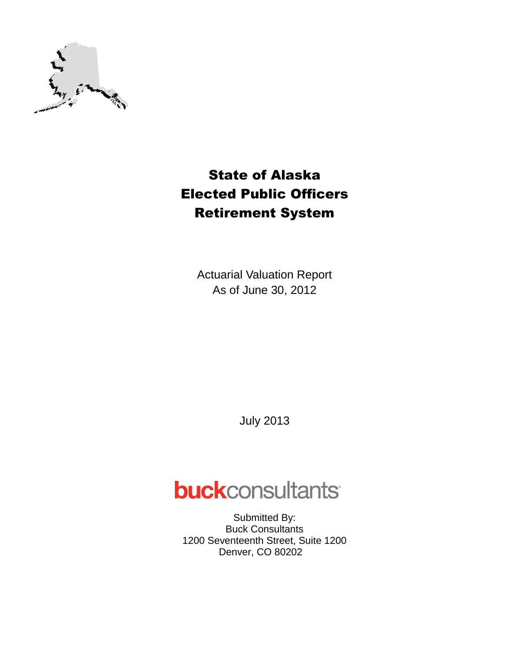

## State of Alaska Elected Public Officers Retirement System

Actuarial Valuation Report As of June 30, 2012

July 2013

# **buck**consultants

Submitted By: Buck Consultants 1200 Seventeenth Street, Suite 1200 Denver, CO 80202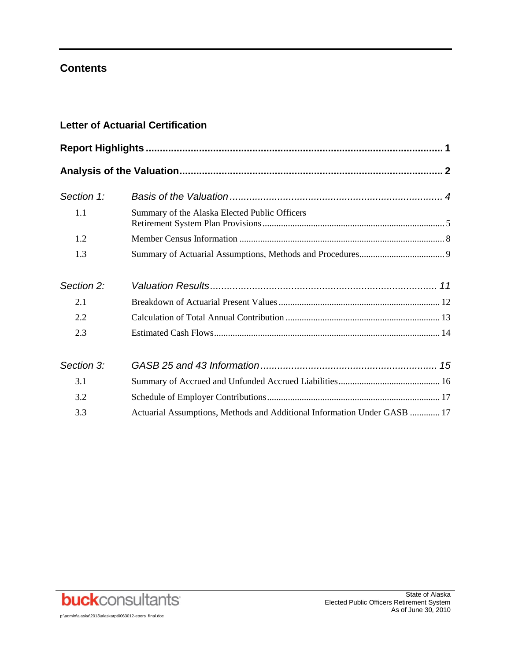## **Contents**

## **Letter of Actuarial Certification**

| Section 1: |                                                                          |  |  |  |  |
|------------|--------------------------------------------------------------------------|--|--|--|--|
| 1.1        | Summary of the Alaska Elected Public Officers                            |  |  |  |  |
| 1.2        |                                                                          |  |  |  |  |
| 1.3        |                                                                          |  |  |  |  |
| Section 2: |                                                                          |  |  |  |  |
| 2.1        |                                                                          |  |  |  |  |
| 2.2        |                                                                          |  |  |  |  |
| 2.3        |                                                                          |  |  |  |  |
| Section 3: |                                                                          |  |  |  |  |
| 3.1        |                                                                          |  |  |  |  |
| 3.2        |                                                                          |  |  |  |  |
| 3.3        | Actuarial Assumptions, Methods and Additional Information Under GASB  17 |  |  |  |  |



p:\admin\alaska\2013\alaskarpt0063012-epors\_final.doc

State of Alaska Elected Public Officers Retirement System As of June 30, 2010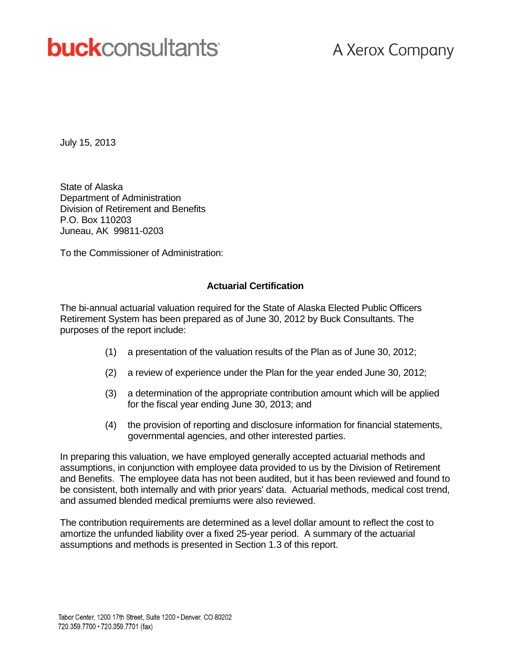# **buck**consultants

## A Xerox Company

July 15, 2013

State of Alaska Department of Administration Division of Retirement and Benefits P.O. Box 110203 Juneau, AK 99811-0203

To the Commissioner of Administration:

#### **Actuarial Certification**

The bi-annual actuarial valuation required for the State of Alaska Elected Public Officers Retirement System has been prepared as of June 30, 2012 by Buck Consultants. The purposes of the report include:

- (1) a presentation of the valuation results of the Plan as of June 30, 2012;
- (2) a review of experience under the Plan for the year ended June 30, 2012;
- (3) a determination of the appropriate contribution amount which will be applied for the fiscal year ending June 30, 2013; and
- (4) the provision of reporting and disclosure information for financial statements, governmental agencies, and other interested parties.

In preparing this valuation, we have employed generally accepted actuarial methods and assumptions, in conjunction with employee data provided to us by the Division of Retirement and Benefits. The employee data has not been audited, but it has been reviewed and found to be consistent, both internally and with prior years' data. Actuarial methods, medical cost trend, and assumed blended medical premiums were also reviewed.

The contribution requirements are determined as a level dollar amount to reflect the cost to amortize the unfunded liability over a fixed 25-year period. A summary of the actuarial assumptions and methods is presented in Section 1.3 of this report.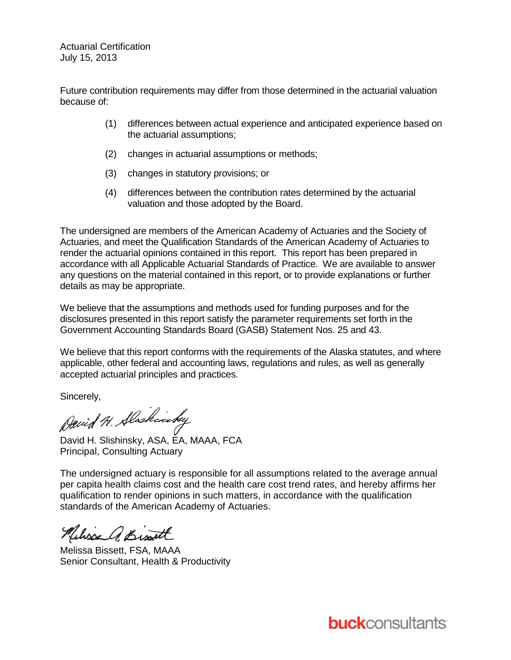Actuarial Certification July 15, 2013

Future contribution requirements may differ from those determined in the actuarial valuation because of:

- (1) differences between actual experience and anticipated experience based on the actuarial assumptions;
- (2) changes in actuarial assumptions or methods;
- (3) changes in statutory provisions; or
- (4) differences between the contribution rates determined by the actuarial valuation and those adopted by the Board.

The undersigned are members of the American Academy of Actuaries and the Society of Actuaries, and meet the Qualification Standards of the American Academy of Actuaries to render the actuarial opinions contained in this report. This report has been prepared in accordance with all Applicable Actuarial Standards of Practice. We are available to answer any questions on the material contained in this report, or to provide explanations or further details as may be appropriate.

We believe that the assumptions and methods used for funding purposes and for the disclosures presented in this report satisfy the parameter requirements set forth in the Government Accounting Standards Board (GASB) Statement Nos. 25 and 43.

We believe that this report conforms with the requirements of the Alaska statutes, and where applicable, other federal and accounting laws, regulations and rules, as well as generally accepted actuarial principles and practices.

Sincerely,

David H. Alaskinsky

David H. Slishinsky, ASA, EA, MAAA, FCA Principal, Consulting Actuary

The undersigned actuary is responsible for all assumptions related to the average annual per capita health claims cost and the health care cost trend rates, and hereby affirms her qualification to render opinions in such matters, in accordance with the qualification standards of the American Academy of Actuaries.

Relixed Bist

Melissa Bissett, FSA, MAAA Senior Consultant, Health & Productivity

**buck**consultants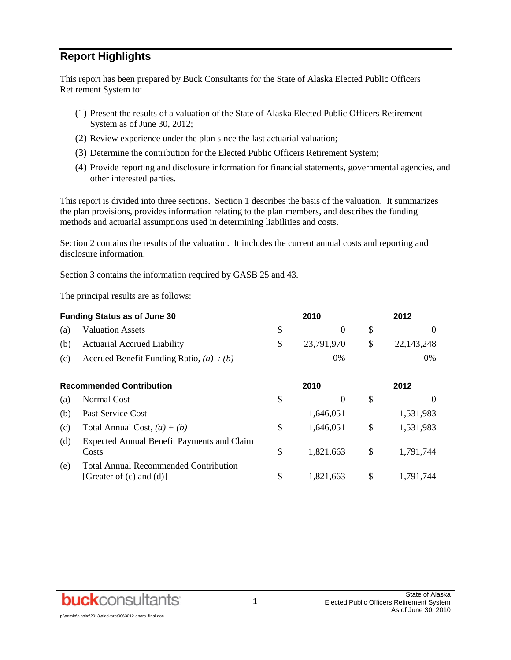## **Report Highlights**

This report has been prepared by Buck Consultants for the State of Alaska Elected Public Officers Retirement System to:

- (1) Present the results of a valuation of the State of Alaska Elected Public Officers Retirement System as of June 30, 2012;
- (2) Review experience under the plan since the last actuarial valuation;
- (3) Determine the contribution for the Elected Public Officers Retirement System;
- (4) Provide reporting and disclosure information for financial statements, governmental agencies, and other interested parties.

This report is divided into three sections. Section 1 describes the basis of the valuation. It summarizes the plan provisions, provides information relating to the plan members, and describes the funding methods and actuarial assumptions used in determining liabilities and costs.

Section 2 contains the results of the valuation. It includes the current annual costs and reporting and disclosure information.

Section 3 contains the information required by GASB 25 and 43.

The principal results are as follows:

| <b>Funding Status as of June 30</b> |                                               | 2010       | 2012 |            |  |
|-------------------------------------|-----------------------------------------------|------------|------|------------|--|
| (a)                                 | <b>Valuation Assets</b>                       |            |      |            |  |
| (b)                                 | <b>Actuarial Accrued Liability</b>            | 23,791,970 | -S   | 22.143.248 |  |
| (c)                                 | Accrued Benefit Funding Ratio, $(a) \div (b)$ | 0%         |      | 0%         |  |

| <b>Recommended Contribution</b> |                                                                               |   | 2010      | 2012 |           |  |
|---------------------------------|-------------------------------------------------------------------------------|---|-----------|------|-----------|--|
| (a)                             | Normal Cost                                                                   | S |           | \$   | $\theta$  |  |
| (b)                             | Past Service Cost                                                             |   | 1,646,051 |      | 1,531,983 |  |
| (c)                             | Total Annual Cost, $(a) + (b)$                                                | S | 1.646.051 | \$   | 1,531,983 |  |
| (d)                             | Expected Annual Benefit Payments and Claim<br>Costs                           | S | 1,821,663 | \$   | 1,791,744 |  |
| (e)                             | <b>Total Annual Recommended Contribution</b><br>[Greater of $(c)$ and $(d)$ ] | S | 1,821,663 | \$   | 1,791,744 |  |

**buck**consultants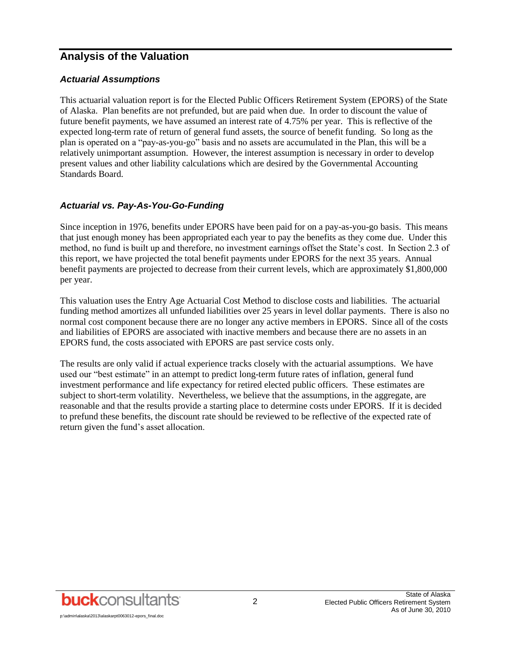## **Analysis of the Valuation**

#### *Actuarial Assumptions*

This actuarial valuation report is for the Elected Public Officers Retirement System (EPORS) of the State of Alaska. Plan benefits are not prefunded, but are paid when due. In order to discount the value of future benefit payments, we have assumed an interest rate of 4.75% per year. This is reflective of the expected long-term rate of return of general fund assets, the source of benefit funding. So long as the plan is operated on a "pay-as-you-go" basis and no assets are accumulated in the Plan, this will be a relatively unimportant assumption. However, the interest assumption is necessary in order to develop present values and other liability calculations which are desired by the Governmental Accounting Standards Board.

#### *Actuarial vs. Pay-As-You-Go-Funding*

Since inception in 1976, benefits under EPORS have been paid for on a pay-as-you-go basis. This means that just enough money has been appropriated each year to pay the benefits as they come due. Under this method, no fund is built up and therefore, no investment earnings offset the State's cost. In Section 2.3 of this report, we have projected the total benefit payments under EPORS for the next 35 years. Annual benefit payments are projected to decrease from their current levels, which are approximately \$1,800,000 per year.

This valuation uses the Entry Age Actuarial Cost Method to disclose costs and liabilities. The actuarial funding method amortizes all unfunded liabilities over 25 years in level dollar payments. There is also no normal cost component because there are no longer any active members in EPORS. Since all of the costs and liabilities of EPORS are associated with inactive members and because there are no assets in an EPORS fund, the costs associated with EPORS are past service costs only.

The results are only valid if actual experience tracks closely with the actuarial assumptions. We have used our "best estimate" in an attempt to predict long-term future rates of inflation, general fund investment performance and life expectancy for retired elected public officers. These estimates are subject to short-term volatility. Nevertheless, we believe that the assumptions, in the aggregate, are reasonable and that the results provide a starting place to determine costs under EPORS. If it is decided to prefund these benefits, the discount rate should be reviewed to be reflective of the expected rate of return given the fund's asset allocation.

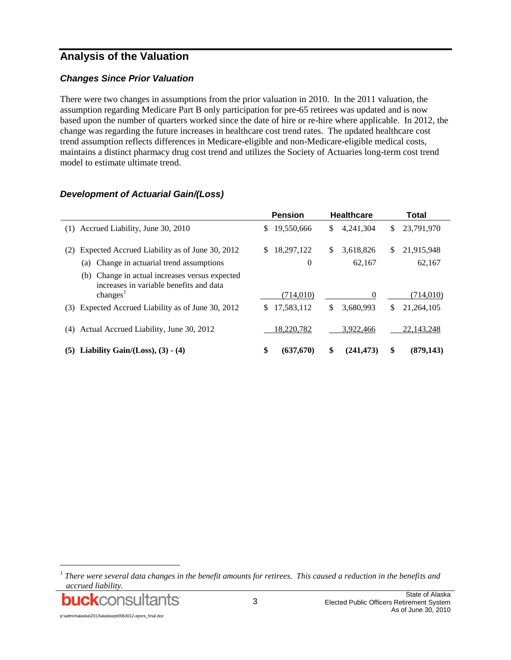## **Analysis of the Valuation**

#### *Changes Since Prior Valuation*

There were two changes in assumptions from the prior valuation in 2010. In the 2011 valuation, the assumption regarding Medicare Part B only participation for pre-65 retirees was updated and is now based upon the number of quarters worked since the date of hire or re-hire where applicable. In 2012, the change was regarding the future increases in healthcare cost trend rates. The updated healthcare cost trend assumption reflects differences in Medicare-eligible and non-Medicare-eligible medical costs, maintains a distinct pharmacy drug cost trend and utilizes the Society of Actuaries long-term cost trend model to estimate ultimate trend.

|                                                                                                                      | <b>Pension</b> | <b>Healthcare</b> | Total      |  |  |  |
|----------------------------------------------------------------------------------------------------------------------|----------------|-------------------|------------|--|--|--|
| Accrued Liability, June 30, 2010                                                                                     | 19,550,666     | \$                | 23,791,970 |  |  |  |
| (1)                                                                                                                  | \$             | 4,241,304         | \$         |  |  |  |
| Expected Accrued Liability as of June 30, 2012                                                                       | 18,297,122     | \$                | \$         |  |  |  |
| (2)                                                                                                                  | \$             | 3,618,826         | 21,915,948 |  |  |  |
| Change in actuarial trend assumptions<br>(a)                                                                         | 0              | 62,167            | 62,167     |  |  |  |
| Change in actual increases versus expected<br>(b)<br>increases in variable benefits and data<br>changes <sup>1</sup> | (714,010)      | 0                 | (714, 010) |  |  |  |
| Expected Accrued Liability as of June 30, 2012                                                                       | 17,583,112     | \$                | \$         |  |  |  |
| (3)                                                                                                                  | \$             | 3.680.993         | 21.264.105 |  |  |  |
| Actual Accrued Liability, June 30, 2012<br>(4)                                                                       | 18,220,782     | 3.922.466         | 22,143,248 |  |  |  |
| Liability Gain/(Loss), $(3)$ - $(4)$                                                                                 | \$             | \$                | \$         |  |  |  |
| (5)                                                                                                                  | (637,670)      | (241, 473)        | (879, 143) |  |  |  |

#### *Development of Actuarial Gain/(Loss)*

<sup>1</sup> There were several data changes in the benefit amounts for retirees. This caused a reduction in the benefits and *accrued liability.*



l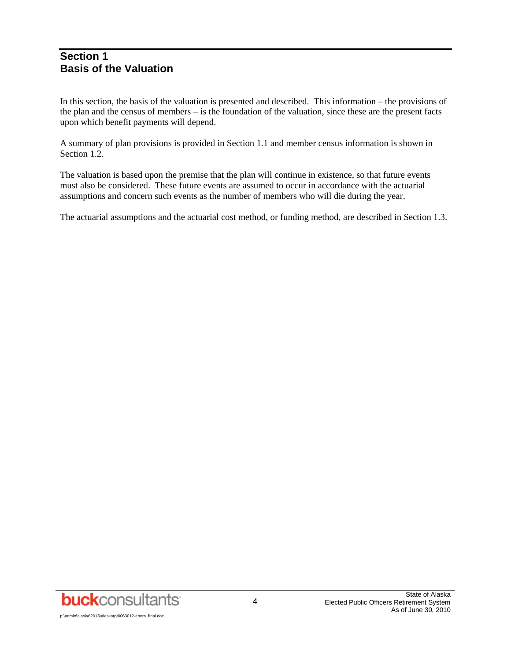### **Section 1 Basis of the Valuation**

In this section, the basis of the valuation is presented and described. This information – the provisions of the plan and the census of members – is the foundation of the valuation, since these are the present facts upon which benefit payments will depend.

A summary of plan provisions is provided in Section 1.1 and member census information is shown in Section 1.2.

The valuation is based upon the premise that the plan will continue in existence, so that future events must also be considered. These future events are assumed to occur in accordance with the actuarial assumptions and concern such events as the number of members who will die during the year.

The actuarial assumptions and the actuarial cost method, or funding method, are described in Section 1.3.

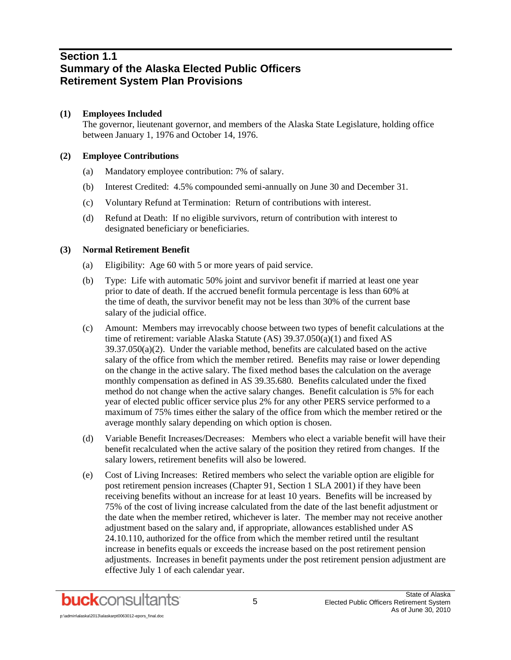## **Section 1.1 Summary of the Alaska Elected Public Officers Retirement System Plan Provisions**

#### **(1) Employees Included**

The governor, lieutenant governor, and members of the Alaska State Legislature, holding office between January 1, 1976 and October 14, 1976.

#### **(2) Employee Contributions**

- (a) Mandatory employee contribution: 7% of salary.
- (b) Interest Credited: 4.5% compounded semi-annually on June 30 and December 31.
- (c) Voluntary Refund at Termination: Return of contributions with interest.
- (d) Refund at Death: If no eligible survivors, return of contribution with interest to designated beneficiary or beneficiaries.

#### **(3) Normal Retirement Benefit**

- (a) Eligibility: Age 60 with 5 or more years of paid service.
- (b) Type: Life with automatic 50% joint and survivor benefit if married at least one year prior to date of death. If the accrued benefit formula percentage is less than 60% at the time of death, the survivor benefit may not be less than 30% of the current base salary of the judicial office.
- (c) Amount: Members may irrevocably choose between two types of benefit calculations at the time of retirement: variable Alaska Statute (AS) 39.37.050(a)(1) and fixed AS  $39.37.050(a)(2)$ . Under the variable method, benefits are calculated based on the active salary of the office from which the member retired. Benefits may raise or lower depending on the change in the active salary. The fixed method bases the calculation on the average monthly compensation as defined in AS 39.35.680. Benefits calculated under the fixed method do not change when the active salary changes. Benefit calculation is 5% for each year of elected public officer service plus 2% for any other PERS service performed to a maximum of 75% times either the salary of the office from which the member retired or the average monthly salary depending on which option is chosen.
- (d) Variable Benefit Increases/Decreases: Members who elect a variable benefit will have their benefit recalculated when the active salary of the position they retired from changes. If the salary lowers, retirement benefits will also be lowered.
- (e) Cost of Living Increases: Retired members who select the variable option are eligible for post retirement pension increases (Chapter 91, Section 1 SLA 2001) if they have been receiving benefits without an increase for at least 10 years. Benefits will be increased by 75% of the cost of living increase calculated from the date of the last benefit adjustment or the date when the member retired, whichever is later. The member may not receive another adjustment based on the salary and, if appropriate, allowances established under AS 24.10.110, authorized for the office from which the member retired until the resultant increase in benefits equals or exceeds the increase based on the post retirement pension adjustments. Increases in benefit payments under the post retirement pension adjustment are effective July 1 of each calendar year.

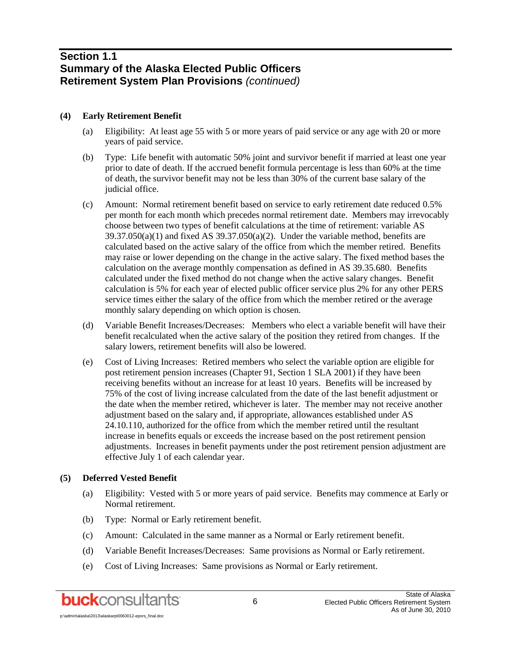## **Section 1.1 Summary of the Alaska Elected Public Officers Retirement System Plan Provisions** *(continued)*

#### **(4) Early Retirement Benefit**

- (a) Eligibility: At least age 55 with 5 or more years of paid service or any age with 20 or more years of paid service.
- (b) Type: Life benefit with automatic 50% joint and survivor benefit if married at least one year prior to date of death. If the accrued benefit formula percentage is less than 60% at the time of death, the survivor benefit may not be less than 30% of the current base salary of the judicial office.
- (c) Amount: Normal retirement benefit based on service to early retirement date reduced 0.5% per month for each month which precedes normal retirement date. Members may irrevocably choose between two types of benefit calculations at the time of retirement: variable AS  $39.37.050(a)(1)$  and fixed AS  $39.37.050(a)(2)$ . Under the variable method, benefits are calculated based on the active salary of the office from which the member retired. Benefits may raise or lower depending on the change in the active salary. The fixed method bases the calculation on the average monthly compensation as defined in AS 39.35.680. Benefits calculated under the fixed method do not change when the active salary changes. Benefit calculation is 5% for each year of elected public officer service plus 2% for any other PERS service times either the salary of the office from which the member retired or the average monthly salary depending on which option is chosen.
- (d) Variable Benefit Increases/Decreases: Members who elect a variable benefit will have their benefit recalculated when the active salary of the position they retired from changes. If the salary lowers, retirement benefits will also be lowered.
- (e) Cost of Living Increases: Retired members who select the variable option are eligible for post retirement pension increases (Chapter 91, Section 1 SLA 2001) if they have been receiving benefits without an increase for at least 10 years. Benefits will be increased by 75% of the cost of living increase calculated from the date of the last benefit adjustment or the date when the member retired, whichever is later. The member may not receive another adjustment based on the salary and, if appropriate, allowances established under AS 24.10.110, authorized for the office from which the member retired until the resultant increase in benefits equals or exceeds the increase based on the post retirement pension adjustments. Increases in benefit payments under the post retirement pension adjustment are effective July 1 of each calendar year.

#### **(5) Deferred Vested Benefit**

- (a) Eligibility: Vested with 5 or more years of paid service. Benefits may commence at Early or Normal retirement.
- (b) Type: Normal or Early retirement benefit.
- (c) Amount: Calculated in the same manner as a Normal or Early retirement benefit.
- (d) Variable Benefit Increases/Decreases: Same provisions as Normal or Early retirement.
- (e) Cost of Living Increases: Same provisions as Normal or Early retirement.

p:\admin\alaska\2013\alaskarpt0063012-epors\_final.doc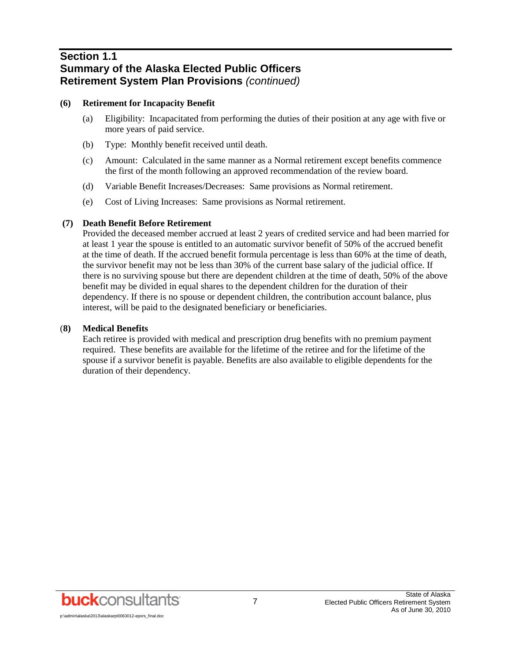## **Section 1.1 Summary of the Alaska Elected Public Officers Retirement System Plan Provisions** *(continued)*

#### **(6) Retirement for Incapacity Benefit**

- (a) Eligibility: Incapacitated from performing the duties of their position at any age with five or more years of paid service.
- (b) Type: Monthly benefit received until death.
- (c) Amount: Calculated in the same manner as a Normal retirement except benefits commence the first of the month following an approved recommendation of the review board.
- (d) Variable Benefit Increases/Decreases: Same provisions as Normal retirement.
- (e) Cost of Living Increases: Same provisions as Normal retirement.

#### **(7) Death Benefit Before Retirement**

Provided the deceased member accrued at least 2 years of credited service and had been married for at least 1 year the spouse is entitled to an automatic survivor benefit of 50% of the accrued benefit at the time of death. If the accrued benefit formula percentage is less than 60% at the time of death, the survivor benefit may not be less than 30% of the current base salary of the judicial office. If there is no surviving spouse but there are dependent children at the time of death, 50% of the above benefit may be divided in equal shares to the dependent children for the duration of their dependency. If there is no spouse or dependent children, the contribution account balance, plus interest, will be paid to the designated beneficiary or beneficiaries.

#### (**8) Medical Benefits**

Each retiree is provided with medical and prescription drug benefits with no premium payment required. These benefits are available for the lifetime of the retiree and for the lifetime of the spouse if a survivor benefit is payable. Benefits are also available to eligible dependents for the duration of their dependency.

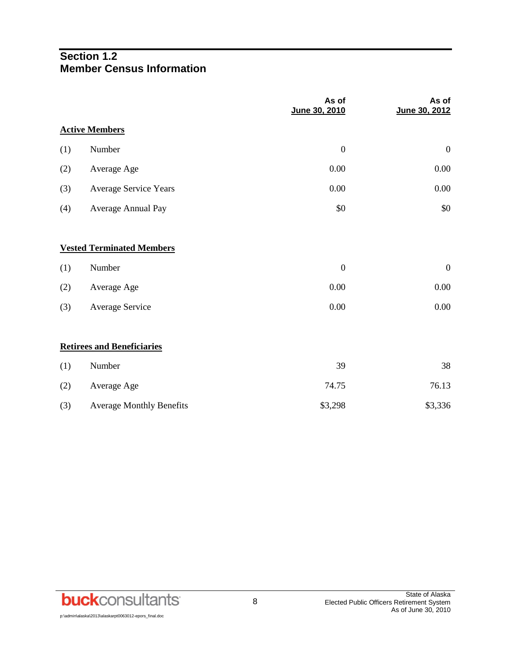## **Section 1.2 Member Census Information**

|     |                                   | As of<br>June 30, 2010 | As of<br>June 30, 2012 |
|-----|-----------------------------------|------------------------|------------------------|
|     | <b>Active Members</b>             |                        |                        |
| (1) | Number                            | $\boldsymbol{0}$       | $\boldsymbol{0}$       |
| (2) | Average Age                       | 0.00                   | 0.00                   |
| (3) | Average Service Years             | 0.00                   | $0.00\,$               |
| (4) | Average Annual Pay                | \$0                    | \$0                    |
|     | <b>Vested Terminated Members</b>  |                        |                        |
| (1) | Number                            | $\boldsymbol{0}$       | $\boldsymbol{0}$       |
| (2) | Average Age                       | 0.00                   | 0.00                   |
| (3) | Average Service                   | 0.00                   | 0.00                   |
|     | <b>Retirees and Beneficiaries</b> |                        |                        |
| (1) | Number                            | 39                     | 38                     |
| (2) | Average Age                       | 74.75                  | 76.13                  |
| (3) | <b>Average Monthly Benefits</b>   | \$3,298                | \$3,336                |

**buck**consultants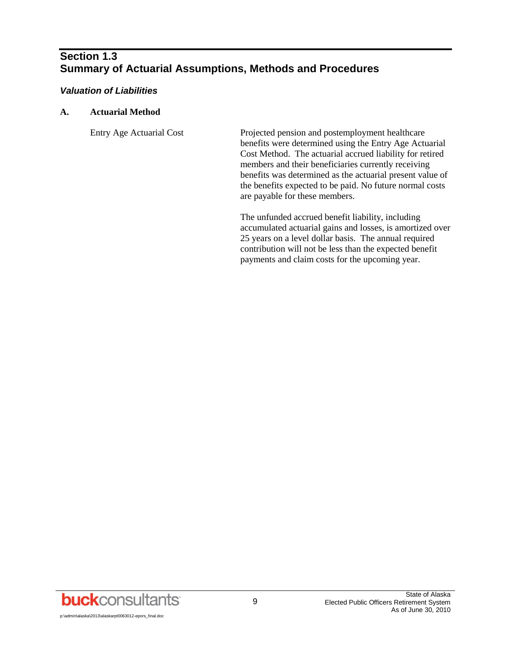## **Section 1.3 Summary of Actuarial Assumptions, Methods and Procedures**

#### *Valuation of Liabilities*

#### **A. Actuarial Method**

Entry Age Actuarial Cost Projected pension and postemployment healthcare benefits were determined using the Entry Age Actuarial Cost Method. The actuarial accrued liability for retired members and their beneficiaries currently receiving benefits was determined as the actuarial present value of the benefits expected to be paid. No future normal costs are payable for these members.

> The unfunded accrued benefit liability, including accumulated actuarial gains and losses, is amortized over 25 years on a level dollar basis. The annual required contribution will not be less than the expected benefit payments and claim costs for the upcoming year.

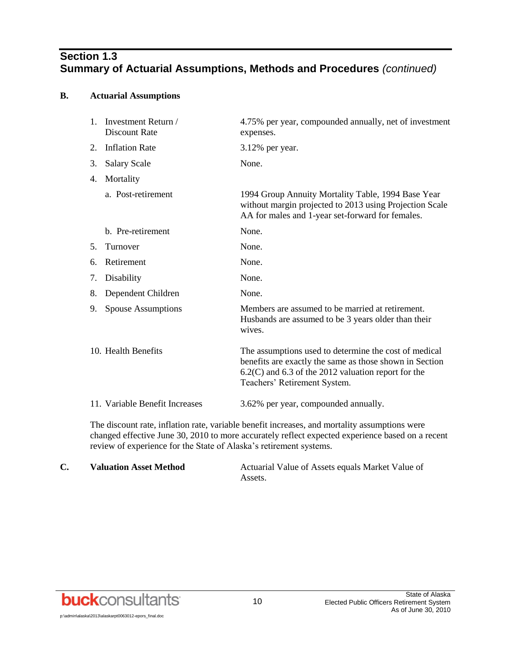## **Section 1.3 Summary of Actuarial Assumptions, Methods and Procedures** *(continued)*

#### **B. Actuarial Assumptions**

|    | 1. Investment Return /<br>Discount Rate | 4.75% per year, compounded annually, net of investment<br>expenses.                                                                                                                                         |
|----|-----------------------------------------|-------------------------------------------------------------------------------------------------------------------------------------------------------------------------------------------------------------|
| 2. | <b>Inflation Rate</b>                   | 3.12% per year.                                                                                                                                                                                             |
| 3. | <b>Salary Scale</b>                     | None.                                                                                                                                                                                                       |
| 4. | Mortality                               |                                                                                                                                                                                                             |
|    | a. Post-retirement                      | 1994 Group Annuity Mortality Table, 1994 Base Year<br>without margin projected to 2013 using Projection Scale<br>AA for males and 1-year set-forward for females.                                           |
|    | b. Pre-retirement                       | None.                                                                                                                                                                                                       |
| 5. | Turnover                                | None.                                                                                                                                                                                                       |
| 6. | Retirement                              | None.                                                                                                                                                                                                       |
| 7. | Disability                              | None.                                                                                                                                                                                                       |
| 8. | Dependent Children                      | None.                                                                                                                                                                                                       |
| 9. | <b>Spouse Assumptions</b>               | Members are assumed to be married at retirement.<br>Husbands are assumed to be 3 years older than their<br>wives.                                                                                           |
|    | 10. Health Benefits                     | The assumptions used to determine the cost of medical<br>benefits are exactly the same as those shown in Section<br>$6.2(C)$ and $6.3$ of the 2012 valuation report for the<br>Teachers' Retirement System. |
|    | 11. Variable Benefit Increases          | 3.62% per year, compounded annually.                                                                                                                                                                        |

The discount rate, inflation rate, variable benefit increases, and mortality assumptions were changed effective June 30, 2010 to more accurately reflect expected experience based on a recent review of experience for the State of Alaska's retirement systems.

| <b>Valuation Asset Method</b> | Actuarial Value of Assets equals Market Value of |
|-------------------------------|--------------------------------------------------|
|                               | Assets.                                          |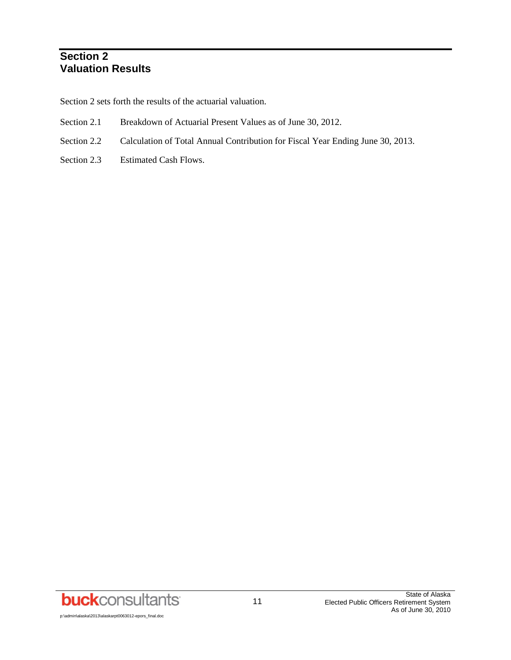## **Section 2 Valuation Results**

Section 2 sets forth the results of the actuarial valuation.

- Section 2.1 Breakdown of Actuarial Present Values as of June 30, 2012.
- Section 2.2 Calculation of Total Annual Contribution for Fiscal Year Ending June 30, 2013.
- Section 2.3 Estimated Cash Flows.

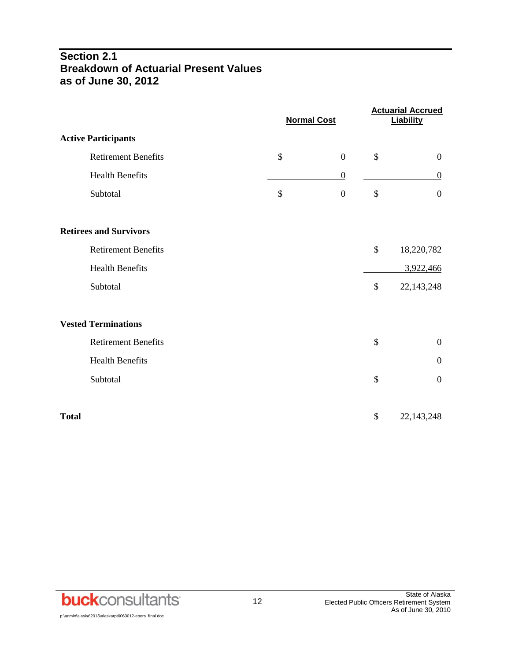## **Section 2.1 Breakdown of Actuarial Present Values as of June 30, 2012**

|                               | <b>Normal Cost</b>     | <b>Actuarial Accrued</b><br><b>Liability</b> |
|-------------------------------|------------------------|----------------------------------------------|
| <b>Active Participants</b>    |                        |                                              |
| <b>Retirement Benefits</b>    | \$<br>$\boldsymbol{0}$ | \$<br>$\boldsymbol{0}$                       |
| <b>Health Benefits</b>        | $\boldsymbol{0}$       | $\boldsymbol{0}$                             |
| Subtotal                      | \$<br>$\boldsymbol{0}$ | \$<br>$\overline{0}$                         |
| <b>Retirees and Survivors</b> |                        |                                              |
| <b>Retirement Benefits</b>    |                        | \$<br>18,220,782                             |
| <b>Health Benefits</b>        |                        | 3,922,466                                    |
| Subtotal                      |                        | \$<br>22,143,248                             |
| <b>Vested Terminations</b>    |                        |                                              |
| <b>Retirement Benefits</b>    |                        | \$<br>$\boldsymbol{0}$                       |
| <b>Health Benefits</b>        |                        | $\boldsymbol{0}$                             |
| Subtotal                      |                        | \$<br>$\overline{0}$                         |
| <b>Total</b>                  |                        | \$<br>22, 143, 248                           |

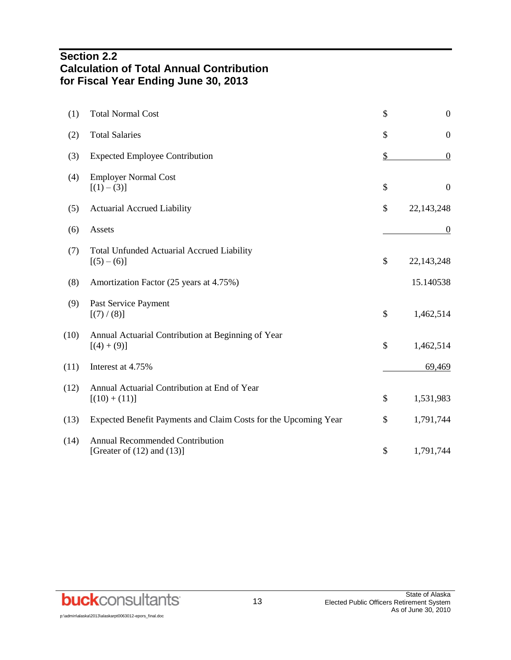## **Section 2.2 Calculation of Total Annual Contribution for Fiscal Year Ending June 30, 2013**

| (1)  | <b>Total Normal Cost</b>                                                  | \$<br>$\boldsymbol{0}$ |
|------|---------------------------------------------------------------------------|------------------------|
| (2)  | <b>Total Salaries</b>                                                     | \$<br>$\boldsymbol{0}$ |
| (3)  | <b>Expected Employee Contribution</b>                                     | \$<br>$\boldsymbol{0}$ |
| (4)  | <b>Employer Normal Cost</b><br>$[(1) - (3)]$                              | \$<br>$\overline{0}$   |
| (5)  | <b>Actuarial Accrued Liability</b>                                        | \$<br>22,143,248       |
| (6)  | Assets                                                                    | $\overline{0}$         |
| (7)  | <b>Total Unfunded Actuarial Accrued Liability</b><br>$[(5)-(6)]$          | \$<br>22, 143, 248     |
| (8)  | Amortization Factor (25 years at 4.75%)                                   | 15.140538              |
| (9)  | Past Service Payment<br>[(7)/(8)]                                         | \$<br>1,462,514        |
| (10) | Annual Actuarial Contribution at Beginning of Year<br>$[(4) + (9)]$       | \$<br>1,462,514        |
| (11) | Interest at 4.75%                                                         | 69,469                 |
| (12) | Annual Actuarial Contribution at End of Year<br>$[(10) + (11)]$           | \$<br>1,531,983        |
| (13) | Expected Benefit Payments and Claim Costs for the Upcoming Year           | \$<br>1,791,744        |
| (14) | <b>Annual Recommended Contribution</b><br>[Greater of $(12)$ and $(13)$ ] | \$<br>1,791,744        |
|      |                                                                           |                        |

**buck**consultants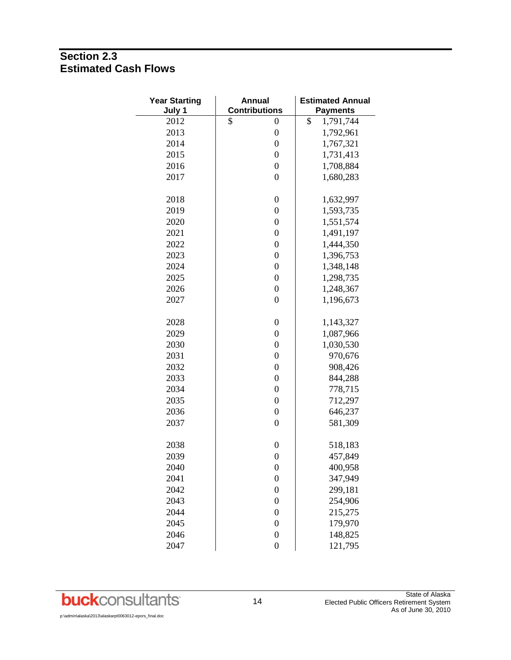## **Section 2.3 Estimated Cash Flows**

| <b>Year Starting</b><br>July 1 | <b>Annual</b><br><b>Contributions</b> | <b>Estimated Annual</b><br><b>Payments</b> |
|--------------------------------|---------------------------------------|--------------------------------------------|
| 2012                           | \$<br>$\boldsymbol{0}$                | \$<br>1,791,744                            |
| 2013                           | $\boldsymbol{0}$                      | 1,792,961                                  |
| 2014                           | $\boldsymbol{0}$                      | 1,767,321                                  |
| 2015                           | $\boldsymbol{0}$                      | 1,731,413                                  |
| 2016                           | $\boldsymbol{0}$                      | 1,708,884                                  |
| 2017                           | $\boldsymbol{0}$                      | 1,680,283                                  |
| 2018                           | $\boldsymbol{0}$                      | 1,632,997                                  |
| 2019                           | $\boldsymbol{0}$                      | 1,593,735                                  |
| 2020                           | $\boldsymbol{0}$                      | 1,551,574                                  |
| 2021                           | $\boldsymbol{0}$                      | 1,491,197                                  |
| 2022                           | $\boldsymbol{0}$                      | 1,444,350                                  |
| 2023                           | $\boldsymbol{0}$                      | 1,396,753                                  |
| 2024                           | $\boldsymbol{0}$                      | 1,348,148                                  |
| 2025                           | $\boldsymbol{0}$                      | 1,298,735                                  |
| 2026                           | $\boldsymbol{0}$                      | 1,248,367                                  |
| 2027                           | $\boldsymbol{0}$                      | 1,196,673                                  |
| 2028                           | $\boldsymbol{0}$                      | 1,143,327                                  |
| 2029                           | $\boldsymbol{0}$                      | 1,087,966                                  |
| 2030                           | $\boldsymbol{0}$                      | 1,030,530                                  |
| 2031                           | $\boldsymbol{0}$                      | 970,676                                    |
| 2032                           | $\boldsymbol{0}$                      | 908,426                                    |
| 2033                           | $\boldsymbol{0}$                      | 844,288                                    |
| 2034                           | $\boldsymbol{0}$                      | 778,715                                    |
| 2035                           | $\boldsymbol{0}$                      | 712,297                                    |
| 2036                           | $\boldsymbol{0}$                      | 646,237                                    |
| 2037                           | $\boldsymbol{0}$                      | 581,309                                    |
| 2038                           | $\boldsymbol{0}$                      | 518,183                                    |
| 2039                           | $\boldsymbol{0}$                      | 457,849                                    |
| 2040                           | $\boldsymbol{0}$                      | 400,958                                    |
| 2041                           | $\boldsymbol{0}$                      | 347,949                                    |
| 2042                           | $\boldsymbol{0}$                      | 299,181                                    |
| 2043                           | $\boldsymbol{0}$                      | 254,906                                    |
| 2044                           | $\boldsymbol{0}$                      | 215,275                                    |
| 2045                           | $\boldsymbol{0}$                      | 179,970                                    |
| 2046                           | $\boldsymbol{0}$                      | 148,825                                    |
| 2047                           | $\boldsymbol{0}$                      | 121,795                                    |

p:\admin\alaska\2013\alaskarpt0063012-epors\_final.doc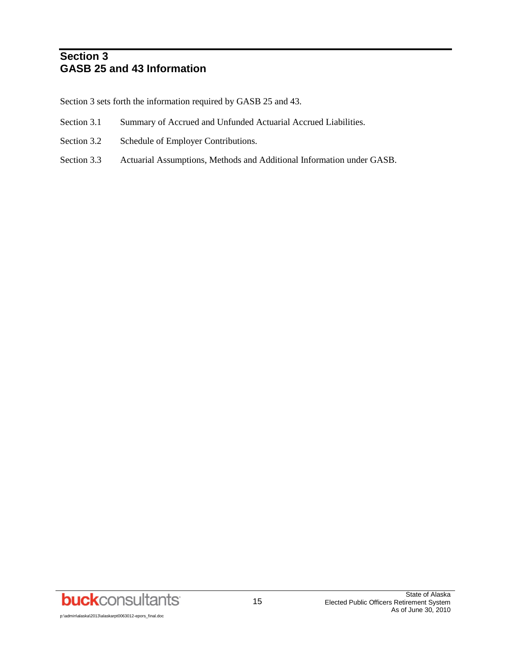## **Section 3 GASB 25 and 43 Information**

Section 3 sets forth the information required by GASB 25 and 43.

- Section 3.1 Summary of Accrued and Unfunded Actuarial Accrued Liabilities.
- Section 3.2 Schedule of Employer Contributions.
- Section 3.3 Actuarial Assumptions, Methods and Additional Information under GASB.

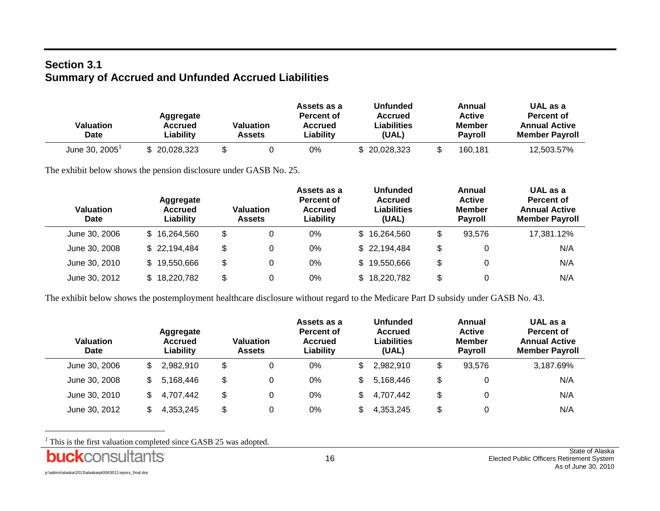## **Section 3.1 Summary of Accrued and Unfunded Accrued Liabilities**

| Valuation<br>Date       | Aggregate<br>Accrued<br>Liabilitv | Valuation<br>Assets | Assets as a<br>Percent of<br>Accrued<br>Liabilitv | <b>Unfunded</b><br><b>Accrued</b><br>Liabilities<br>(UAL) | Annual<br><b>Active</b><br>Member<br><b>Pavroll</b> | UAL as a<br>Percent of<br><b>Annual Active</b><br><b>Member Payroll</b> |
|-------------------------|-----------------------------------|---------------------|---------------------------------------------------|-----------------------------------------------------------|-----------------------------------------------------|-------------------------------------------------------------------------|
| June 30, $2005^{\circ}$ | 20.028.323                        |                     | 0%                                                | \$20,028,323                                              | 160,181                                             | 12,503.57%                                                              |

The exhibit below shows the pension disclosure under GASB No. 25.

| Valuation<br><b>Date</b> | Aggregate<br>Accrued<br>Liability | Valuation<br><b>Assets</b> | Assets as a<br>Percent of<br><b>Accrued</b><br>Liability |     | <b>Unfunded</b><br>Accrued<br>Liabilities<br>(UAL) | Annual<br><b>Active</b><br><b>Member</b><br><b>Pavroll</b> | UAL as a<br>Percent of<br><b>Annual Active</b><br><b>Member Payroll</b> |
|--------------------------|-----------------------------------|----------------------------|----------------------------------------------------------|-----|----------------------------------------------------|------------------------------------------------------------|-------------------------------------------------------------------------|
| June 30, 2006            | \$16,264,560                      | \$<br>0                    | 0%                                                       |     | \$16,264,560                                       | \$<br>93.576                                               | 17,381.12%                                                              |
| June 30, 2008            | \$22,194,484                      | \$<br>0                    | 0%                                                       |     | \$22,194,484                                       | \$                                                         | N/A                                                                     |
| June 30, 2010            | \$19,550,666                      | \$<br>0                    | 0%                                                       | S.  | 19,550,666                                         | \$                                                         | N/A                                                                     |
| June 30, 2012            | 18,220,782                        | \$<br>0                    | 0%                                                       | \$. | 18,220,782                                         | \$                                                         | N/A                                                                     |

The exhibit below shows the postemployment healthcare disclosure without regard to the Medicare Part D subsidy under GASB No. 43.

| <b>Valuation</b><br>Date |     | Aggregate<br>Accrued<br>Liability | <b>Valuation</b><br><b>Assets</b> | Assets as a<br>Percent of<br><b>Accrued</b><br>Liability | <b>Unfunded</b><br>Accrued<br><b>Liabilities</b><br>(UAL) | Annual<br><b>Active</b><br><b>Member</b><br><b>Pavroll</b> | UAL as a<br>Percent of<br><b>Annual Active</b><br><b>Member Payroll</b> |
|--------------------------|-----|-----------------------------------|-----------------------------------|----------------------------------------------------------|-----------------------------------------------------------|------------------------------------------------------------|-------------------------------------------------------------------------|
| June 30, 2006            | \$. | 2.982.910                         | \$<br>0                           | $0\%$                                                    | 2.982.910                                                 | \$<br>93.576                                               | 3,187.69%                                                               |
| June 30, 2008            | S   | 5,168,446                         | \$<br>0                           | 0%                                                       | 5,168,446                                                 | \$                                                         | N/A                                                                     |
| June 30, 2010            | S   | 4,707,442                         | \$<br>0                           | $0\%$                                                    | 4,707,442                                                 | \$                                                         | N/A                                                                     |
| June 30, 2012            | \$  | 4,353,245                         | \$                                | 0%                                                       | 4,353,245                                                 | \$                                                         | N/A                                                                     |

This is the first valuation completed since GASB 25 was adopted.

p:\admin\alaska\2013\alaskarpt0063012-epors\_final.doc

l